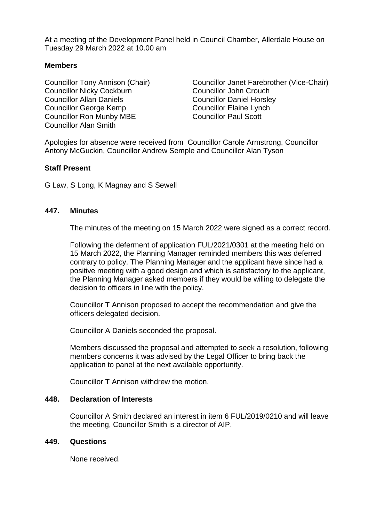At a meeting of the Development Panel held in Council Chamber, Allerdale House on Tuesday 29 March 2022 at 10.00 am

# **Members**

Councillor Nicky Cockburn Councillor John Crouch Councillor Allan Daniels Councillor Daniel Horsley Councillor George Kemp Councillor Elaine Lynch Councillor Ron Munby MBE Councillor Paul Scott Councillor Alan Smith

Councillor Tony Annison (Chair) Councillor Janet Farebrother (Vice-Chair)

Apologies for absence were received from Councillor Carole Armstrong, Councillor Antony McGuckin, Councillor Andrew Semple and Councillor Alan Tyson

## **Staff Present**

G Law, S Long, K Magnay and S Sewell

## **447. Minutes**

The minutes of the meeting on 15 March 2022 were signed as a correct record.

Following the deferment of application FUL/2021/0301 at the meeting held on 15 March 2022, the Planning Manager reminded members this was deferred contrary to policy. The Planning Manager and the applicant have since had a positive meeting with a good design and which is satisfactory to the applicant, the Planning Manager asked members if they would be willing to delegate the decision to officers in line with the policy.

Councillor T Annison proposed to accept the recommendation and give the officers delegated decision.

Councillor A Daniels seconded the proposal.

Members discussed the proposal and attempted to seek a resolution, following members concerns it was advised by the Legal Officer to bring back the application to panel at the next available opportunity.

Councillor T Annison withdrew the motion.

## **448. Declaration of Interests**

Councillor A Smith declared an interest in item 6 FUL/2019/0210 and will leave the meeting, Councillor Smith is a director of AIP.

## **449. Questions**

None received.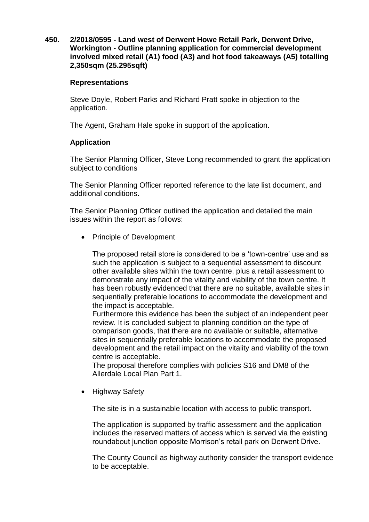**450. 2/2018/0595 - Land west of Derwent Howe Retail Park, Derwent Drive, Workington - Outline planning application for commercial development involved mixed retail (A1) food (A3) and hot food takeaways (A5) totalling 2,350sqm (25.295sqft)**

## **Representations**

Steve Doyle, Robert Parks and Richard Pratt spoke in objection to the application.

The Agent, Graham Hale spoke in support of the application.

# **Application**

The Senior Planning Officer, Steve Long recommended to grant the application subject to conditions

The Senior Planning Officer reported reference to the late list document, and additional conditions.

The Senior Planning Officer outlined the application and detailed the main issues within the report as follows:

• Principle of Development

The proposed retail store is considered to be a 'town-centre' use and as such the application is subject to a sequential assessment to discount other available sites within the town centre, plus a retail assessment to demonstrate any impact of the vitality and viability of the town centre. It has been robustly evidenced that there are no suitable, available sites in sequentially preferable locations to accommodate the development and the impact is acceptable.

Furthermore this evidence has been the subject of an independent peer review. It is concluded subject to planning condition on the type of comparison goods, that there are no available or suitable, alternative sites in sequentially preferable locations to accommodate the proposed development and the retail impact on the vitality and viability of the town centre is acceptable.

The proposal therefore complies with policies S16 and DM8 of the Allerdale Local Plan Part 1.

• Highway Safety

The site is in a sustainable location with access to public transport.

The application is supported by traffic assessment and the application includes the reserved matters of access which is served via the existing roundabout junction opposite Morrison's retail park on Derwent Drive.

The County Council as highway authority consider the transport evidence to be acceptable.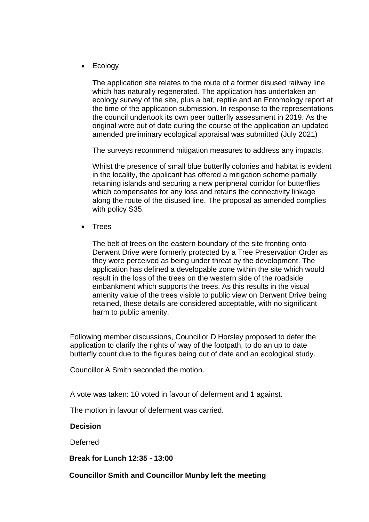• Ecology

The application site relates to the route of a former disused railway line which has naturally regenerated. The application has undertaken an ecology survey of the site, plus a bat, reptile and an Entomology report at the time of the application submission. In response to the representations the council undertook its own peer butterfly assessment in 2019. As the original were out of date during the course of the application an updated amended preliminary ecological appraisal was submitted (July 2021)

The surveys recommend mitigation measures to address any impacts.

Whilst the presence of small blue butterfly colonies and habitat is evident in the locality, the applicant has offered a mitigation scheme partially retaining islands and securing a new peripheral corridor for butterflies which compensates for any loss and retains the connectivity linkage along the route of the disused line. The proposal as amended complies with policy S35.

**Trees** 

The belt of trees on the eastern boundary of the site fronting onto Derwent Drive were formerly protected by a Tree Preservation Order as they were perceived as being under threat by the development. The application has defined a developable zone within the site which would result in the loss of the trees on the western side of the roadside embankment which supports the trees. As this results in the visual amenity value of the trees visible to public view on Derwent Drive being retained, these details are considered acceptable, with no significant harm to public amenity.

Following member discussions, Councillor D Horsley proposed to defer the application to clarify the rights of way of the footpath, to do an up to date butterfly count due to the figures being out of date and an ecological study.

Councillor A Smith seconded the motion.

A vote was taken: 10 voted in favour of deferment and 1 against.

The motion in favour of deferment was carried.

## **Decision**

**Deferred** 

**Break for Lunch 12:35 - 13:00** 

# **Councillor Smith and Councillor Munby left the meeting**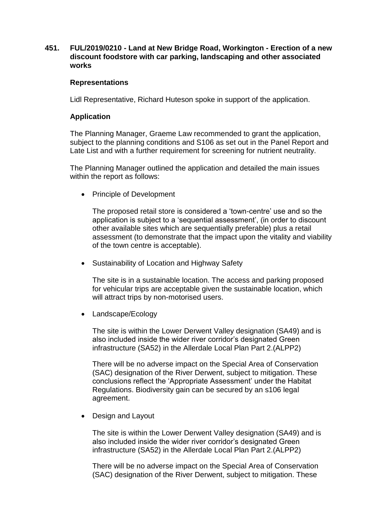# **451. FUL/2019/0210 - Land at New Bridge Road, Workington - Erection of a new discount foodstore with car parking, landscaping and other associated works**

## **Representations**

Lidl Representative, Richard Huteson spoke in support of the application.

# **Application**

The Planning Manager, Graeme Law recommended to grant the application, subject to the planning conditions and S106 as set out in the Panel Report and Late List and with a further requirement for screening for nutrient neutrality.

The Planning Manager outlined the application and detailed the main issues within the report as follows:

• Principle of Development

The proposed retail store is considered a 'town-centre' use and so the application is subject to a 'sequential assessment', (in order to discount other available sites which are sequentially preferable) plus a retail assessment (to demonstrate that the impact upon the vitality and viability of the town centre is acceptable).

• Sustainability of Location and Highway Safety

The site is in a sustainable location. The access and parking proposed for vehicular trips are acceptable given the sustainable location, which will attract trips by non-motorised users.

• Landscape/Ecology

The site is within the Lower Derwent Valley designation (SA49) and is also included inside the wider river corridor's designated Green infrastructure (SA52) in the Allerdale Local Plan Part 2.(ALPP2)

There will be no adverse impact on the Special Area of Conservation (SAC) designation of the River Derwent, subject to mitigation. These conclusions reflect the 'Appropriate Assessment' under the Habitat Regulations. Biodiversity gain can be secured by an s106 legal agreement.

• Design and Layout

The site is within the Lower Derwent Valley designation (SA49) and is also included inside the wider river corridor's designated Green infrastructure (SA52) in the Allerdale Local Plan Part 2.(ALPP2)

There will be no adverse impact on the Special Area of Conservation (SAC) designation of the River Derwent, subject to mitigation. These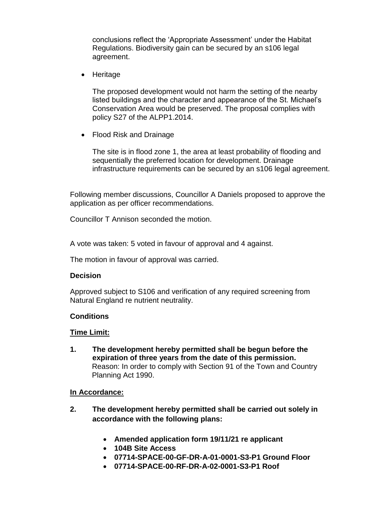conclusions reflect the 'Appropriate Assessment' under the Habitat Regulations. Biodiversity gain can be secured by an s106 legal agreement.

• Heritage

The proposed development would not harm the setting of the nearby listed buildings and the character and appearance of the St. Michael's Conservation Area would be preserved. The proposal complies with policy S27 of the ALPP1.2014.

• Flood Risk and Drainage

The site is in flood zone 1, the area at least probability of flooding and sequentially the preferred location for development. Drainage infrastructure requirements can be secured by an s106 legal agreement.

Following member discussions, Councillor A Daniels proposed to approve the application as per officer recommendations.

Councillor T Annison seconded the motion.

A vote was taken: 5 voted in favour of approval and 4 against.

The motion in favour of approval was carried.

## **Decision**

Approved subject to S106 and verification of any required screening from Natural England re nutrient neutrality.

## **Conditions**

## **Time Limit:**

**1. The development hereby permitted shall be begun before the expiration of three years from the date of this permission.** Reason: In order to comply with Section 91 of the Town and Country Planning Act 1990.

## **In Accordance:**

- **2. The development hereby permitted shall be carried out solely in accordance with the following plans:**
	- **Amended application form 19/11/21 re applicant**
	- **104B Site Access**
	- **07714-SPACE-00-GF-DR-A-01-0001-S3-P1 Ground Floor**
	- **07714-SPACE-00-RF-DR-A-02-0001-S3-P1 Roof**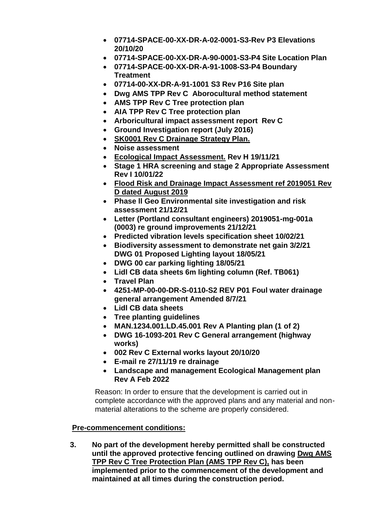- **07714-SPACE-00-XX-DR-A-02-0001-S3-Rev P3 Elevations 20/10/20**
- **07714-SPACE-00-XX-DR-A-90-0001-S3-P4 Site Location Plan**
- **07714-SPACE-00-XX-DR-A-91-1008-S3-P4 Boundary Treatment**
- **07714-00-XX-DR-A-91-1001 S3 Rev P16 Site plan**
- **Dwg AMS TPP Rev C Aborocultural method statement**
- **AMS TPP Rev C Tree protection plan**
- **AIA TPP Rev C Tree protection plan**
- **Arboricultural impact assessment report Rev C**
- **Ground Investigation report (July 2016)**
- **[SK0001 Rev C Drainage Strategy Plan.](javascript:AppBlobImage()**
- **Noise assessment**
- **[Ecological Impact Assessment.](javascript:AppBlobImage() Rev H 19/11/21**
- **Stage 1 HRA screening and stage 2 Appropriate Assessment Rev I 10/01/22**
- **[Flood Risk and Drainage Impact Assessment ref 2019051 Rev](javascript:AppBlobImage()  [D dated August 2019](javascript:AppBlobImage()**
- **Phase ll Geo Environmental site investigation and risk assessment 21/12/21**
- **Letter (Portland consultant engineers) 2019051-mg-001a (0003) re ground improvements 21/12/21**
- **Predicted vibration levels specification sheet 10/02/21**
- **Biodiversity assessment to demonstrate net gain 3/2/21 DWG 01 Proposed Lighting layout 18/05/21**
- **DWG 00 car parking lighting 18/05/21**
- **Lidl CB data sheets 6m lighting column (Ref. TB061)**
- **Travel Plan**
- **4251-MP-00-00-DR-S-0110-S2 REV P01 Foul water drainage general arrangement Amended 8/7/21**
- **Lidl CB data sheets**
- **Tree planting guidelines**
- **MAN.1234.001.LD.45.001 Rev A Planting plan (1 of 2)**
- **DWG 16-1093-201 Rev C General arrangement (highway works)**
- **002 Rev C External works layout 20/10/20**
- **E-mail re 27/11/19 re drainage**
- **Landscape and management Ecological Management plan Rev A Feb 2022**

Reason: In order to ensure that the development is carried out in complete accordance with the approved plans and any material and nonmaterial alterations to the scheme are properly considered.

# **Pre-commencement conditions:**

**3. No part of the development hereby permitted shall be constructed until the approved protective fencing outlined on drawing [Dwg AMS](javascript:AppBlobImage()  [TPP Rev C Tree Protection Plan \(AMS TPP Rev C\),](javascript:AppBlobImage() has been implemented prior to the commencement of the development and maintained at all times during the construction period.**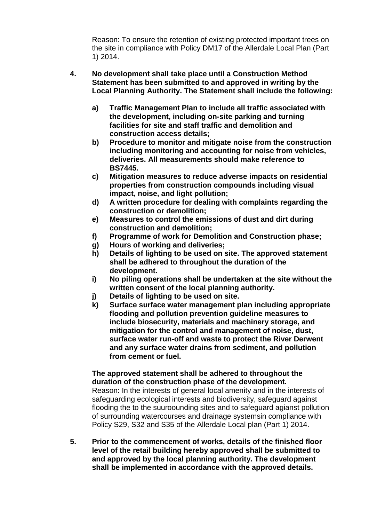Reason: To ensure the retention of existing protected important trees on the site in compliance with Policy DM17 of the Allerdale Local Plan (Part 1) 2014.

- **4. No development shall take place until a Construction Method Statement has been submitted to and approved in writing by the Local Planning Authority. The Statement shall include the following:**
	- **a) Traffic Management Plan to include all traffic associated with the development, including on-site parking and turning facilities for site and staff traffic and demolition and construction access details;**
	- **b) Procedure to monitor and mitigate noise from the construction including monitoring and accounting for noise from vehicles, deliveries. All measurements should make reference to BS7445.**
	- **c) Mitigation measures to reduce adverse impacts on residential properties from construction compounds including visual impact, noise, and light pollution;**
	- **d) A written procedure for dealing with complaints regarding the construction or demolition;**
	- **e) Measures to control the emissions of dust and dirt during construction and demolition;**
	- **f) Programme of work for Demolition and Construction phase;**
	- **g) Hours of working and deliveries;**
	- **h) Details of lighting to be used on site. The approved statement shall be adhered to throughout the duration of the development.**
	- **i) No piling operations shall be undertaken at the site without the written consent of the local planning authority.**
	- **j) Details of lighting to be used on site.**
	- **k) Surface surface water management plan including appropriate flooding and pollution prevention guideline measures to include biosecurity, materials and machinery storage, and mitigation for the control and management of noise, dust, surface water run-off and waste to protect the River Derwent and any surface water drains from sediment, and pollution from cement or fuel.**

# **The approved statement shall be adhered to throughout the duration of the construction phase of the development.**

Reason: In the interests of general local amenity and in the interests of safeguarding ecological interests and biodiversity, safeguard against flooding the to the suuroounding sites and to safeguard agianst pollution of surrounding watercourses and drainage systemsin compliance with Policy S29, S32 and S35 of the Allerdale Local plan (Part 1) 2014.

**5. Prior to the commencement of works, details of the finished floor level of the retail building hereby approved shall be submitted to and approved by the local planning authority. The development shall be implemented in accordance with the approved details.**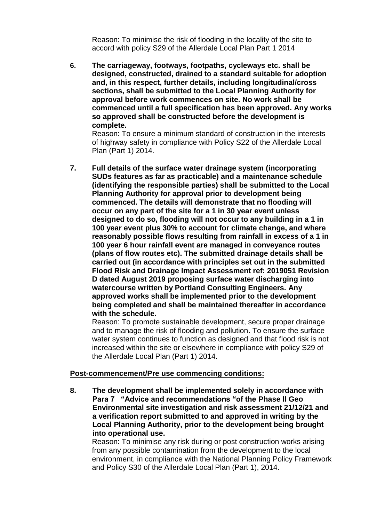Reason: To minimise the risk of flooding in the locality of the site to accord with policy S29 of the Allerdale Local Plan Part 1 2014

**6. The carriageway, footways, footpaths, cycleways etc. shall be designed, constructed, drained to a standard suitable for adoption and, in this respect, further details, including longitudinal/cross sections, shall be submitted to the Local Planning Authority for approval before work commences on site. No work shall be commenced until a full specification has been approved. Any works so approved shall be constructed before the development is complete.** 

Reason: To ensure a minimum standard of construction in the interests of highway safety in compliance with Policy S22 of the Allerdale Local Plan (Part 1) 2014.

**7. Full details of the surface water drainage system (incorporating SUDs features as far as practicable) and a maintenance schedule (identifying the responsible parties) shall be submitted to the Local Planning Authority for approval prior to development being commenced. The details will demonstrate that no flooding will occur on any part of the site for a 1 in 30 year event unless designed to do so, flooding will not occur to any building in a 1 in 100 year event plus 30% to account for climate change, and where reasonably possible flows resulting from rainfall in excess of a 1 in 100 year 6 hour rainfall event are managed in conveyance routes (plans of flow routes etc). The submitted drainage details shall be carried out (in accordance with principles set out in the submitted Flood Risk and Drainage Impact Assessment ref: 2019051 Revision D dated August 2019 proposing surface water discharging into watercourse written by Portland Consulting Engineers. Any approved works shall be implemented prior to the development being completed and shall be maintained thereafter in accordance with the schedule.** 

Reason: To promote sustainable development, secure proper drainage and to manage the risk of flooding and pollution. To ensure the surface water system continues to function as designed and that flood risk is not increased within the site or elsewhere in compliance with policy S29 of the Allerdale Local Plan (Part 1) 2014.

# **Post-commencement/Pre use commencing conditions:**

**8. The development shall be implemented solely in accordance with Para 7 "Advice and recommendations "of the Phase ll Geo Environmental site investigation and risk assessment 21/12/21 and a verification report submitted to and approved in writing by the Local Planning Authority, prior to the development being brought into operational use.** 

Reason: To minimise any risk during or post construction works arising from any possible contamination from the development to the local environment, in compliance with the National Planning Policy Framework and Policy S30 of the Allerdale Local Plan (Part 1), 2014.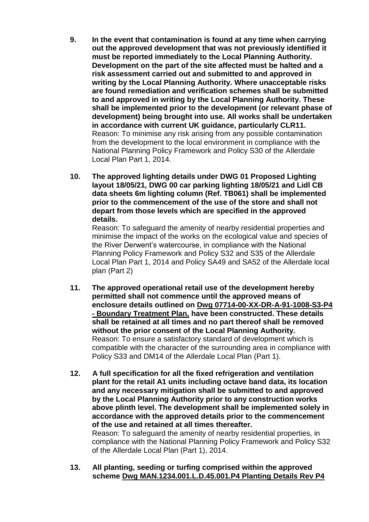- **9. In the event that contamination is found at any time when carrying out the approved development that was not previously identified it must be reported immediately to the Local Planning Authority. Development on the part of the site affected must be halted and a risk assessment carried out and submitted to and approved in writing by the Local Planning Authority. Where unacceptable risks are found remediation and verification schemes shall be submitted to and approved in writing by the Local Planning Authority. These shall be implemented prior to the development (or relevant phase of development) being brought into use. All works shall be undertaken in accordance with current UK guidance, particularly CLR11.**  Reason: To minimise any risk arising from any possible contamination from the development to the local environment in compliance with the National Planning Policy Framework and Policy S30 of the Allerdale Local Plan Part 1, 2014.
- **10. The approved lighting details under DWG 01 Proposed Lighting layout 18/05/21, DWG 00 car parking lighting 18/05/21 and Lidl CB data sheets 6m lighting column (Ref. TB061) shall be implemented prior to the commencement of the use of the store and shall not depart from those levels which are specified in the approved details.**

Reason: To safeguard the amenity of nearby residential properties and minimise the impact of the works on the ecological value and species of the River Derwent's watercourse, in compliance with the National Planning Policy Framework and Policy S32 and S35 of the Allerdale Local Plan Part 1, 2014 and Policy SA49 and SA52 of the Allerdale local plan (Part 2)

- **11. The approved operational retail use of the development hereby permitted shall not commence until the approved means of enclosure details outlined on [Dwg 07714-00-XX-DR-A-91-1008-S3-P4](javascript:AppBlobImage()  - [Boundary Treatment Plan,](javascript:AppBlobImage() have been constructed. These details shall be retained at all times and no part thereof shall be removed without the prior consent of the Local Planning Authority.**  Reason: To ensure a satisfactory standard of development which is compatible with the character of the surrounding area in compliance with Policy S33 and DM14 of the Allerdale Local Plan (Part 1).
- **12. A full specification for all the fixed refrigeration and ventilation plant for the retail A1 units including octave band data, its location and any necessary mitigation shall be submitted to and approved by the Local Planning Authority prior to any construction works above plinth level. The development shall be implemented solely in accordance with the approved details prior to the commencement of the use and retained at all times thereafter.** Reason: To safeguard the amenity of nearby residential properties, in compliance with the National Planning Policy Framework and Policy S32

**13. All planting, seeding or turfing comprised within the approved scheme [Dwg MAN.1234.001.L.D.45.001.P4 Planting Details Rev P4](javascript:AppBlobImage()**

of the Allerdale Local Plan (Part 1), 2014.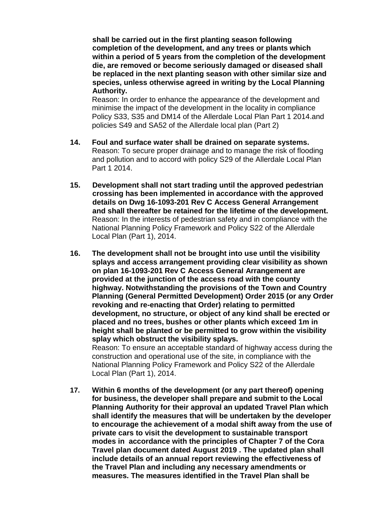**shall be carried out in the first planting season following completion of the development, and any trees or plants which within a period of 5 years from the completion of the development die, are removed or become seriously damaged or diseased shall be replaced in the next planting season with other similar size and species, unless otherwise agreed in writing by the Local Planning Authority.**

Reason: In order to enhance the appearance of the development and minimise the impact of the development in the locality in compliance Policy S33, S35 and DM14 of the Allerdale Local Plan Part 1 2014.and policies S49 and SA52 of the Allerdale local plan (Part 2)

- **14. Foul and surface water shall be drained on separate systems.**  Reason: To secure proper drainage and to manage the risk of flooding and pollution and to accord with policy S29 of the Allerdale Local Plan Part 1 2014.
- **15. Development shall not start trading until the approved pedestrian crossing has been implemented in accordance with the approved details on Dwg 16-1093-201 Rev C Access General Arrangement and shall thereafter be retained for the lifetime of the development.** Reason: In the interests of pedestrian safety and in compliance with the National Planning Policy Framework and Policy S22 of the Allerdale Local Plan (Part 1), 2014.
- **16. The development shall not be brought into use until the visibility splays and access arrangement providing clear visibility as shown on plan 16-1093-201 Rev C Access General Arrangement are provided at the junction of the access road with the county highway. Notwithstanding the provisions of the Town and Country Planning (General Permitted Development) Order 2015 (or any Order revoking and re-enacting that Order) relating to permitted development, no structure, or object of any kind shall be erected or placed and no trees, bushes or other plants which exceed 1m in height shall be planted or be permitted to grow within the visibility splay which obstruct the visibility splays.**  Reason: To ensure an acceptable standard of highway access during the construction and operational use of the site, in compliance with the

National Planning Policy Framework and Policy S22 of the Allerdale Local Plan (Part 1), 2014. **17. Within 6 months of the development (or any part thereof) opening for business, the developer shall prepare and submit to the Local Planning Authority for their approval an updated Travel Plan which shall identify the measures that will be undertaken by the developer to encourage the achievement of a modal shift away from the use of private cars to visit the development to sustainable transport modes in accordance with the principles of Chapter 7 of the Cora** 

**Travel plan document dated August 2019 . The updated plan shall include details of an annual report reviewing the effectiveness of the Travel Plan and including any necessary amendments or measures. The measures identified in the Travel Plan shall be**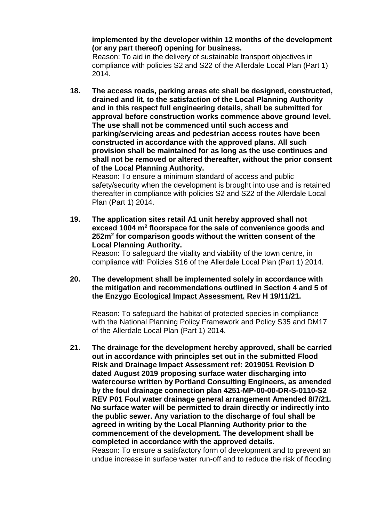**implemented by the developer within 12 months of the development (or any part thereof) opening for business.** 

Reason: To aid in the delivery of sustainable transport objectives in compliance with policies S2 and S22 of the Allerdale Local Plan (Part 1) 2014.

**18. The access roads, parking areas etc shall be designed, constructed, drained and lit, to the satisfaction of the Local Planning Authority and in this respect full engineering details, shall be submitted for approval before construction works commence above ground level. The use shall not be commenced until such access and parking/servicing areas and pedestrian access routes have been constructed in accordance with the approved plans. All such provision shall be maintained for as long as the use continues and shall not be removed or altered thereafter, without the prior consent of the Local Planning Authority.**

Reason: To ensure a minimum standard of access and public safety/security when the development is brought into use and is retained thereafter in compliance with policies S2 and S22 of the Allerdale Local Plan (Part 1) 2014.

**19. The application sites retail A1 unit hereby approved shall not exceed 1004 m<sup>2</sup> floorspace for the sale of convenience goods and 252m<sup>2</sup> for comparison goods without the written consent of the Local Planning Authority.**

Reason: To safeguard the vitality and viability of the town centre, in compliance with Policies S16 of the Allerdale Local Plan (Part 1) 2014.

**20. The development shall be implemented solely in accordance with the mitigation and recommendations outlined in Section 4 and 5 of the Enzygo [Ecological Impact Assessment.](javascript:AppBlobImage() Rev H 19/11/21.**

Reason: To safeguard the habitat of protected species in compliance with the National Planning Policy Framework and Policy S35 and DM17 of the Allerdale Local Plan (Part 1) 2014.

**21. The drainage for the development hereby approved, shall be carried out in accordance with principles set out in the submitted Flood Risk and Drainage Impact Assessment ref: 2019051 Revision D dated August 2019 proposing surface water discharging into watercourse written by Portland Consulting Engineers, as amended by the foul drainage connection plan 4251-MP-00-00-DR-S-0110-S2 REV P01 Foul water drainage general arrangement Amended 8/7/21. No surface water will be permitted to drain directly or indirectly into the public sewer. Any variation to the discharge of foul shall be agreed in writing by the Local Planning Authority prior to the commencement of the development. The development shall be completed in accordance with the approved details.** 

Reason: To ensure a satisfactory form of development and to prevent an undue increase in surface water run-off and to reduce the risk of flooding